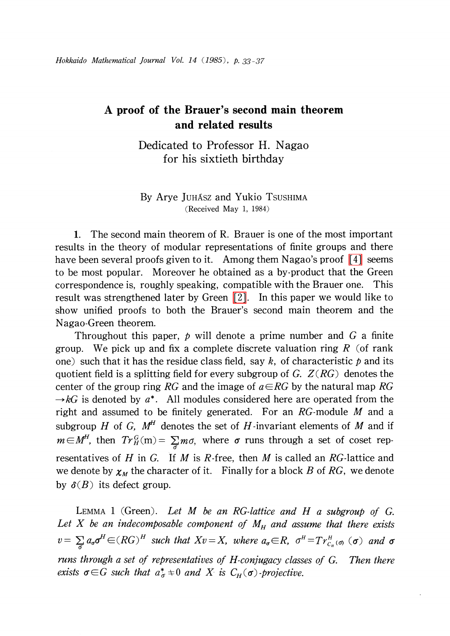## A proof of the Brauer's second main theorem and related results

Dedicated to Professor H. Nagao for his sixtieth birthday

## By Arye JUHASZ and Yukio TSUSHIMA (Received May 1, 1984)

1. The second main theorem of R. Brauer is one of the most important results in the theory of modular representations of finite groups and there have been several proofs given to it. Among them Nagao's proof  $\lceil 4 \rceil$  seems to be most popular. Moreover he obtained as a by-product that the Green correspondence is, roughly speaking, compatible with the Brauer one. This result was strengthened later by Green  $[2]$ . In this paper we would like to show unified proofs to both the Brauer's second main theorem and the Nagao-Green theorem.

Throughout this paper,  $p$  will denote a prime number and  $G$  a finite group. We pick up and fix a complete discrete valuation ring  $R$  (of rank one) such that it has the residue class field, say k, of characteristic p and its quotient field is a splitting field for every subgroup of G.  $Z(RG)$  denotes the center of the group ring RG and the image of  $a\in RG$  by the natural map RG  $\rightarrow kG$  is denoted by  $a^{*}$ . All modules considered here are operated from the right and assumed to be finitely generated. For an  $RG$ -module M and a subgroup H of G,  $M<sup>H</sup>$  denotes the set of H-invariant elements of M and if  $m\in M^{H}$ , then  $Tr_{H}^{G}( m)=\sum_{\sigma}m\sigma$ , where  $\sigma$  runs through a set of coset representatives of  $H$  in  $G$ . If  $M$  is  $R$ -free, then  $M$  is called an  $RG$ -lattice and we denote by  $\chi_{M}$  the character of it. Finally for a block B of RG, we denote by  $\delta(B)$  its defect group.

<span id="page-0-0"></span>LEMMA 1 (Green). Let M be an RG-lattice and H a subgroup of G. Let X be an indecomposable component of  $M_{H}$  and assume that there exists  $v=\sum_{\sigma}\sigma^{H}\in(RG)^{H}$  such that  $Xv=X$ , where  $a_{\sigma}\in R$ ,  $\sigma^{H}=Tr_{c_{\mu}}^{H}(\sigma)$  ( $\sigma$ ) and  $\sigma$ runs through a set of representatives of H-conjugacy classes of G. Then there exists  $\sigma \in G$  such that  $a_{\sigma}^{*}\neq 0$  and X is  $C_{H}(\sigma)$  -projective.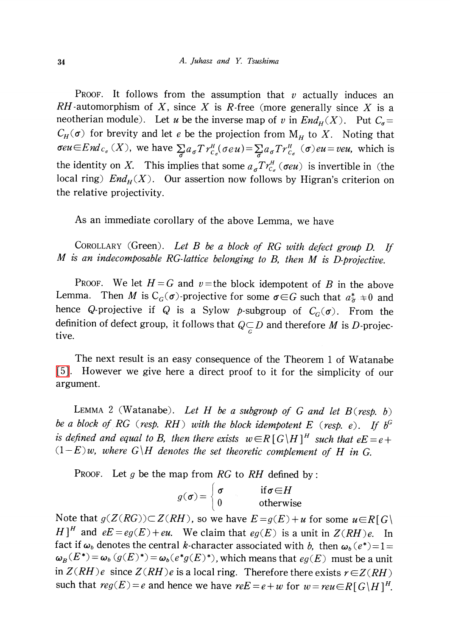PROOF. It follows from the assumption that  $v$  actually induces an RH-automorphism of X, since X is R-free (more generally since X is a neotherian module). Let u be the inverse map of v in  $End_H(X)$ . Put  $C_{\sigma}$ =  $C_{H}(\sigma)$  for brevity and let e be the projection from  $M_{H}$  to X. Noting that  $\sigma eu\in End_{c_{\sigma}}(X)$ , we have  $\sum_{\sigma}a_{\sigma}Tr_{c_{\sigma}}^{H}(\sigma eu)=\sum_{\sigma}a_{\sigma}Tr_{c_{\sigma}}^{H}(\sigma)eu=veu$ , which is the identity on X. This implies that some  $a_{\sigma}Tr_{C_{\sigma}}^{H}(\sigma e u)$  is invertible in (the local ring)  $End_{H}(X)$ . Our assertion now follows by Higran's criterion on the relative projectivity.

As an immediate corollary of the above Lemma, we have

COROLLARY (Green). Let  $B$  be a block of RG with defect group  $D$ . If M is an indecomposable RG-lattice belonging to B, then M is D-projective.

PROOF. We let  $H = G$  and  $v$  = the block idempotent of B in the above Lemma. Then M is  $C_{G}(\sigma)$ -projective for some  $\sigma \in G$  such that  $a^*_{\sigma} \neq 0$  and hence Q-projective if Q is a Sylow p-subgroup of  $C_{G}(\sigma)$ . From the definition of defect group, it follows that  $Q\underset{G}{\subset}D$  and therefore M is D-projective.

The next result is an easy consequence of the Theorem <sup>1</sup> of Watanabe [\[5\].](#page-4-2) However we give here <sup>a</sup> direct proof to it for the simplicity of our argument.

<span id="page-1-0"></span>LEMMA 2 (Watanabe). Let H be a subgroup of G and let  $B$  (resp. b) be a block of RG (resp. RH) with the block idempotent E (resp. e). If  $b^{G}$ is defined and equal to B, then there exists  $w\in R$  [ G $H$ ]<sup>H</sup> such that  $eE=e+$  $(1-E)$ w, where  $G\backslash H$  denotes the set theoretic complement of H in G.

PROOF. Let g be the map from RG to RH defined by:

$$
g(\sigma) = \begin{cases} \sigma & \text{if } \sigma \in H \\ 0 & \text{otherwise} \end{cases}
$$

Note that  $g(Z(RG))\subset Z(RH)$ , so we have  $E=g(E)+u$  for some  $u\in R[G]$  $H^{\dagger}$  and  $eE=eg(E)+eu$ . We claim that  $eg(E)$  is a unit in  $Z(RH)e$ . In fact if  $\omega_{b}$  denotes the central k-character associated with b, then  $\omega_{b}(e^{*})=1=$  $\omega_{B}(E^{*})=\omega_{b}(g(E)^{*})=\omega_{b}(e^{*}g(E)^{*})$ , which means that  $eg(E)$  must be a unit in  $Z(RH)e$  since  $Z(RH)e$  is a local ring. Therefore there exists  $r\in Z(RH)$ such that  $reg(E)=e$  and hence we have  $ref=e+w$  for  $w=reu\in R [ G\backslash H]^H$ .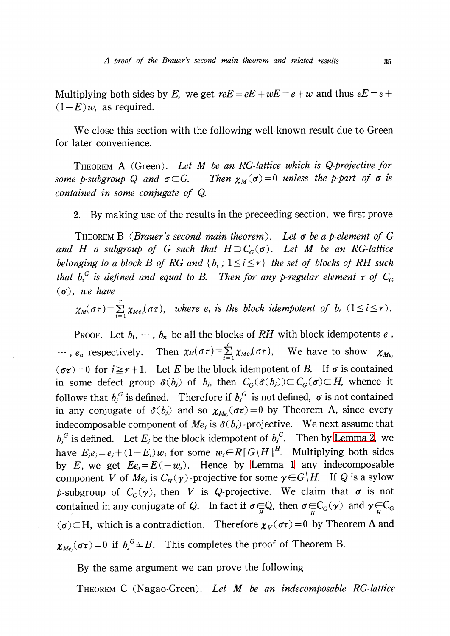Multiplying both sides by E, we get  $reE=eE+wE=e+w$  and thus  $eE=e+$  $(1-E)$ *w*, as required.

We close this section with the following well-known result due to Green for later convenience.

THEOREM A (Green). Let M be an RG-lattice which is Q-projective for some p-subgroup Q and  $\sigma \in G$ . Then  $\chi_{M}(\sigma)=0$  unless the p-part of  $\sigma$  is contained in some conjugate of Q.

2. By making use of the results in the preceeding section, we first prove

THEOREM B (Brauer's second main theorem). Let  $\sigma$  be a p-element of G and H a subgroup of G such that  $H\supset C_{G}(\sigma)$ . Let M be an RG-lattice belonging to a block B of RG and  $\{ b_{i} ; 1 \leq i \leq r\}$  the set of blocks of RH such that  $b_{i}^{G}$  is defined and equal to B. Then for any p-regular element  $\tau$  of  $C_{G}$  $(\sigma)$ , we have

 $\chi_{M}(\sigma\tau)=\sum_{i}\chi_{Me_{i}}(\sigma\tau)$ , where  $e_{i}$  is the block idempotent of  $b_{i}$   $(1\leq i\leq r)$ .

PROOF. Let  $b_{1}, \cdots, b_{n}$  be all the blocks of RH with block idempotents  $e_{1}$ ,  $\ldots$ ,  $e_{n}$  respectively. Then  $\chi_{M}(\sigma\tau)=\sum_{\lambda}^{\infty}\chi_{Me_{i}}(\sigma\tau)$ , We have to show  $\chi_{Me_{j}}$  $(\sigma\tau)=0$  for  $j\geq r+1$ . Let E be the block idempotent of B. If  $\sigma$  is contained in some defect group  $\delta(b_{j})$  of  $b_{j}$ , then  $C_{G}(\delta(b_{j}))\subset C_{G}(\sigma)\subset H$ , whence it follows that  $b_{j}^{G}$  is defined. Therefore if  $b_{j}^{G}$  is not defined,  $\sigma$  is not contained in any conjugate of  $\delta(b_{j})$  and so  $\chi_{Me_{j}}(\sigma\tau)=0$  by Theorem A, since every indecomposable component of  $Me_{j}$  is  $\delta(b_{j})$  -projective. We next assume that  $b_{j}^{G}$  is defined. Let  $E_{j}$  be the block idempotent of  $b_{j}^{G}$ . Then by [Lemma](#page-1-0) 2, we have  $E_{j}e_{j}=e_{j}+(1-E_{j})w_{j}$  for some  $w_{j}\in R[G\backslash H]^{H}$ . Multiplying both sides by E, we get  $E_{e_{j}}=E(-w_{j})$ . Hence by [Lemma](#page-0-0) 1 any indecomposable component  $V$  of  $\mathit{Me}_j$  is  $C_{H}(\gamma)$  -projective for some  $\gamma\!\in\! G\backslash H\!\!$  . If  $Q$  is a sylow p-subgroup of  $C_{G}(\gamma)$ , then V is Q-projective. We claim that  $\sigma$  is not contained in any conjugate of Q. In fact if  $\sigma\in Q$ , then  $\sigma\in C_{G}(\gamma)$  and  $\gamma\in C_{G}$  $(\sigma){\subset} H,$  which is a contradiction. Therefore  $\pmb{\chi}_{V}(\sigma\tau){=}0$  by Theorem A and  $\chi_{Me_{j}}(\sigma\tau)=0$  if  $b_{j}^{G}\nightharpoonup B$ . This completes the proof of Theorem B.

By the same argument we can prove the following

THEOREM C (Nagao-Green). Let M be an indecomposable RG-lattice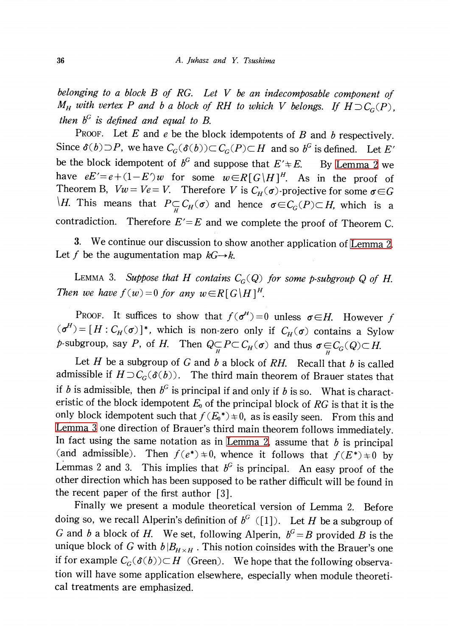belonging to a block  $B$  of  $RG$ . Let  $V$  be an indecomposable component of  $M_{H}$  with vertex P and b a block of RH to which V belongs. If  $H\supset C_{G}(P)$ , then  $b^{G}$  is defined and equal to B.

PROOF. Let E and  $e$  be the block idempotents of  $B$  and  $b$  respectively. Since  $\delta(b)\supset P$ , we have  $C_{G}(\delta(b))\subset C_{G}(P)\subset H$  and so  $b^{G}$  is defined. Let E' be the block idempotent of  $b^{G}$  and suppose that  $E' \div E$ . By [Lemma](#page-1-0) 2 we have  $eE'=e+(1-E')w$  for some  $w\in R[G\backslash H]^H$ . As in the proof of Theorem B,  $Vw=Ve=V$ . Therefore V is  $C_{H}(\sigma)$ -projective for some  $\sigma\in G$  $\Delta H$ . This means that  $P\underset{\mu}{\subset} C_{H}(\sigma)$  and hence  $\sigma\in C_{G}(P)\subset H$ , which is a contradiction. Therefore  $E' = E$  and we complete the proof of Theorem C.

3. We continue our discussion to show another application of [Lemma](#page-1-0) 2. Let f be the augumentation map  $kG\rightarrow k$ .

<span id="page-3-0"></span>LEMMA 3. Suppose that H contains  $C_{G}(Q)$  for some p-subgroup Q of H. Then we have  $f(w)=0$  for any  $w\in R[G\backslash H]^H$ .

PROOF. It suffices to show that  $f(\sigma^{H}) = 0$  unless  $\sigma \in H$ . However f  $(\sigma^{H})=[H: C_{H}(\sigma)]^{*}$ , which is non-zero only if  $C_{H}(\sigma)$  contains a Sylow p-subgroup, say P, of H. Then  $Q\underset{H}{\subset}P\subset C_{H}(\sigma)$  and thus  $\sigma\underset{H}{\in}C_{G}(Q)\subset H$ .

Let  $H$  be a subgroup of  $G$  and  $b$  a block of  $RH$ . Recall that  $b$  is called admissible if  $H\!\supset\!\mathcal C_{\!G}(\delta(b))$ . The third main theorem of Brauer states that if b is admissible, then  $b^{G}$  is principal if and only if b is so. What is characteristic of the block idempotent  $E_{0}$  of the principal block of RG is that it is the only block idempotent such that  $f(E_0^{*})\neq 0$ , as is easily seen. From this and<br>Lemma 3 one direction of Prover's third main the same full in this direct. [Lemma](#page-3-0) <sup>3</sup> one direction of Brauer's third main theorem follows immediately. In fact using the same notation as in [Lemma](#page-1-0) 2, assume that  $b$  is principal (and admissible). Then  $f(e^{*})\neq 0$ , whence it follows that  $f(E^{*})\neq 0$  by Lemmas 2 and 3. This implies that  $b^{G}$  is principal. An easy proof of the other direction which has been supposed to be rather difficult will be found in the recent paper of the first author [3].

Finally we present a module theoretical version of Lemma 2. Before doing so, we recall Alperin's definition of  $b^{G}$  ([1]). Let H be a subgroup of G and b a block of H. We set, following Alperin,  $b^{G}=B$  provided B is the unique block of G with  $b|B_{H\times H}$ . This notion coinsides with the Brauer's one if for example  $C_{G}(\delta(b))\subset H$  (Green). We hope that the following observation will have some application elsewhere, especially when module theoretical treatments are emphasized.